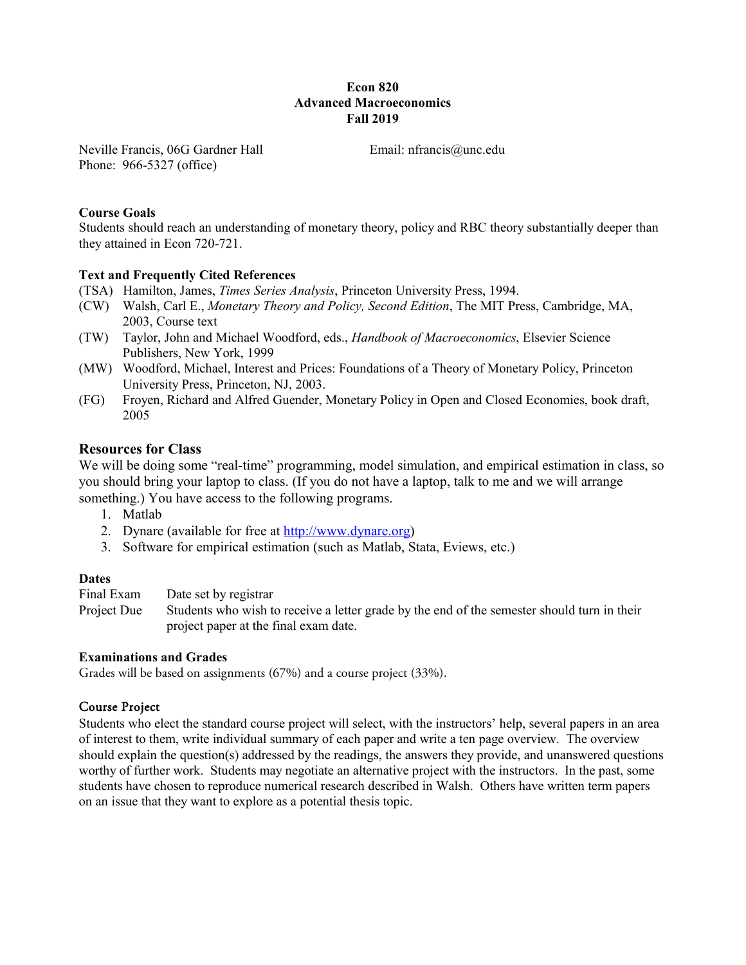## **Econ 820 Advanced Macroeconomics Fall 2019**

Neville Francis, 06G Gardner Hall Phone: 966-5327 (office)

Email: nfrancis@unc.edu

## **Course Goals**

Students should reach an understanding of monetary theory, policy and RBC theory substantially deeper than they attained in Econ 720-721.

## **Text and Frequently Cited References**

- (TSA) Hamilton, James, *Times Series Analysis*, Princeton University Press, 1994.
- (CW) Walsh, Carl E., *Monetary Theory and Policy, Second Edition*, The MIT Press, Cambridge, MA, 2003, Course text
- (TW) Taylor, John and Michael Woodford, eds., *Handbook of Macroeconomics*, Elsevier Science Publishers, New York, 1999
- (MW) Woodford, Michael, Interest and Prices: Foundations of a Theory of Monetary Policy, Princeton University Press, Princeton, NJ, 2003.
- (FG) Froyen, Richard and Alfred Guender, Monetary Policy in Open and Closed Economies, book draft, 2005

## **Resources for Class**

We will be doing some "real-time" programming, model simulation, and empirical estimation in class, so you should bring your laptop to class. (If you do not have a laptop, talk to me and we will arrange something.) You have access to the following programs.

- 1. Matlab
- 2. Dynare (available for free at [http://www.dynare.org\)](http://www.dynare.org/)
- 3. Software for empirical estimation (such as Matlab, Stata, Eviews, etc.)

## **Dates**

Final Exam Date set by registrar

Project Due Students who wish to receive a letter grade by the end of the semester should turn in their project paper at the final exam date.

## **Examinations and Grades**

Grades will be based on assignments (67%) and a course project (33%).

## Course Project

Students who elect the standard course project will select, with the instructors' help, several papers in an area of interest to them, write individual summary of each paper and write a ten page overview. The overview should explain the question(s) addressed by the readings, the answers they provide, and unanswered questions worthy of further work. Students may negotiate an alternative project with the instructors. In the past, some students have chosen to reproduce numerical research described in Walsh. Others have written term papers on an issue that they want to explore as a potential thesis topic.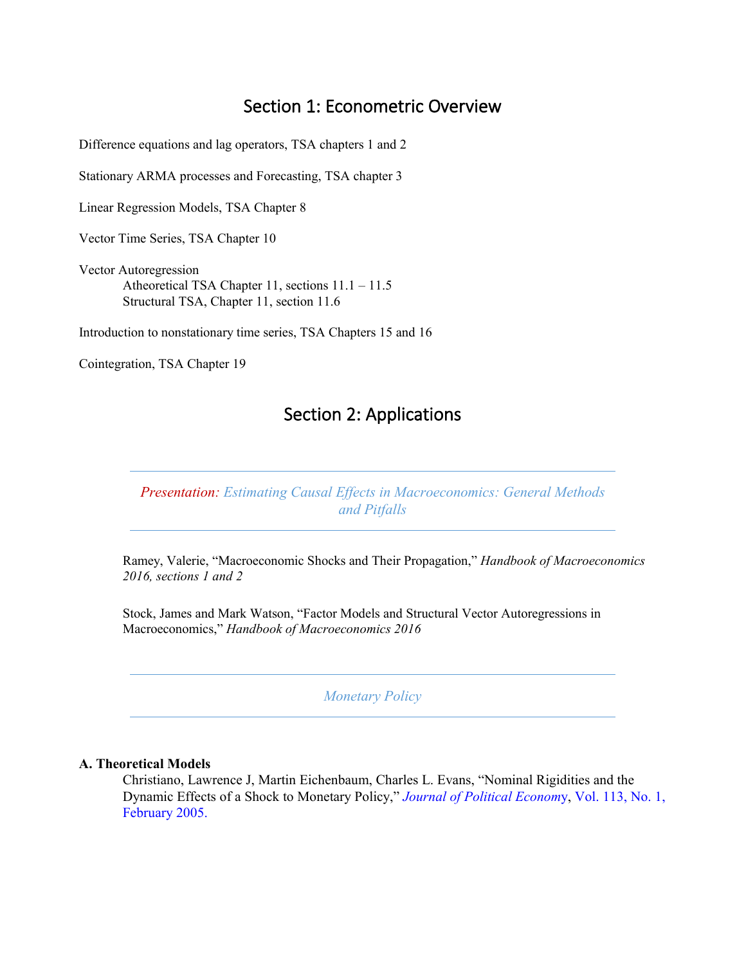# Section 1: Econometric Overview

Difference equations and lag operators, TSA chapters 1 and 2

Stationary ARMA processes and Forecasting, TSA chapter 3

Linear Regression Models, TSA Chapter 8

Vector Time Series, TSA Chapter 10

Vector Autoregression Atheoretical TSA Chapter 11, sections 11.1 – 11.5 Structural TSA, Chapter 11, section 11.6

Introduction to nonstationary time series, TSA Chapters 15 and 16

Cointegration, TSA Chapter 19

## Section 2: Applications

*Presentation: Estimating Causal Effects in Macroeconomics: General Methods and Pitfalls*

Ramey, Valerie, "Macroeconomic Shocks and Their Propagation," *Handbook of Macroeconomics 2016, sections 1 and 2*

Stock, James and Mark Watson, "Factor Models and Structural Vector Autoregressions in Macroeconomics," *Handbook of Macroeconomics 2016*

*Monetary Policy* 

### **A. Theoretical Models**

Christiano, Lawrence J, Martin Eichenbaum, Charles L. Evans, "Nominal Rigidities and the Dynamic Effects of a Shock to Monetary Policy," *Journal of Political Econom*y, Vol. 113, No. 1, February 2005.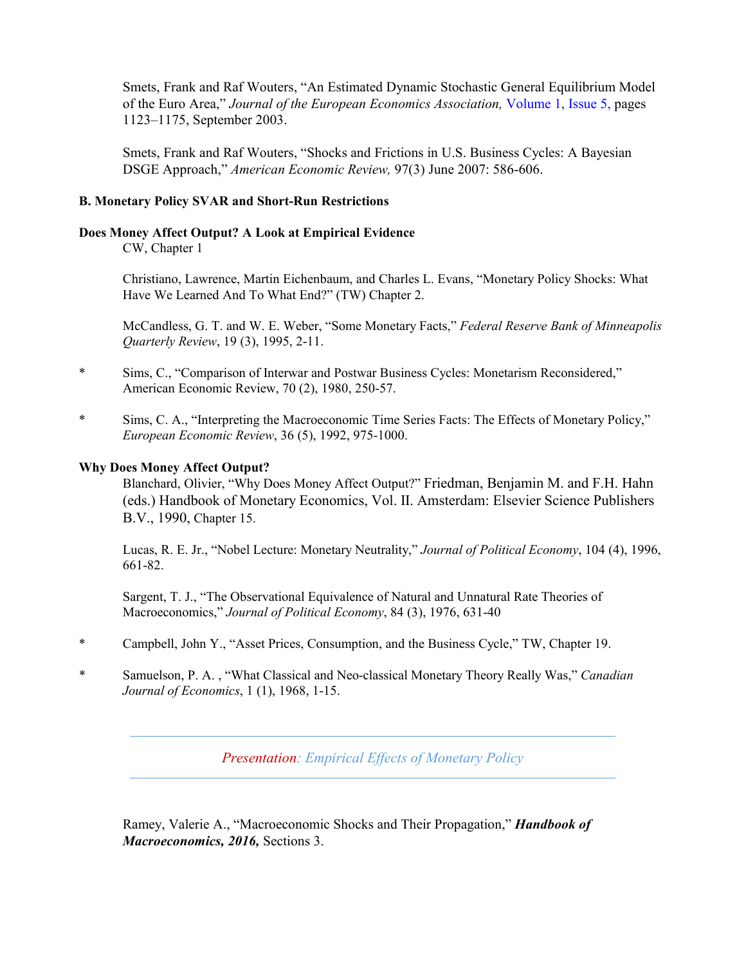Smets, Frank and Raf Wouters, "An Estimated Dynamic Stochastic General Equilibrium Model of the Euro Area," *Journal of the European Economics Association,* Volume 1, Issue 5, pages 1123–1175, September 2003.

Smets, Frank and Raf Wouters, "Shocks and Frictions in U.S. Business Cycles: A Bayesian DSGE Approach," *American Economic Review,* 97(3) June 2007: 586-606.

## **B. Monetary Policy SVAR and Short-Run Restrictions**

#### **Does Money Affect Output? A Look at Empirical Evidence**

CW, Chapter 1

Christiano, Lawrence, Martin Eichenbaum, and Charles L. Evans, "Monetary Policy Shocks: What Have We Learned And To What End?" (TW) Chapter 2.

McCandless, G. T. and W. E. Weber, "Some Monetary Facts," *Federal Reserve Bank of Minneapolis Quarterly Review*, 19 (3), 1995, 2-11.

- \* Sims, C., "Comparison of Interwar and Postwar Business Cycles: Monetarism Reconsidered," American Economic Review, 70 (2), 1980, 250-57.
- \* Sims, C. A., "Interpreting the Macroeconomic Time Series Facts: The Effects of Monetary Policy," *European Economic Review*, 36 (5), 1992, 975-1000.

#### **Why Does Money Affect Output?**

Blanchard, Olivier, "Why Does Money Affect Output?" Friedman, Benjamin M. and F.H. Hahn (eds.) Handbook of Monetary Economics, Vol. II. Amsterdam: Elsevier Science Publishers B.V., 1990, Chapter 15.

Lucas, R. E. Jr., "Nobel Lecture: Monetary Neutrality," *Journal of Political Economy*, 104 (4), 1996, 661-82.

Sargent, T. J., "The Observational Equivalence of Natural and Unnatural Rate Theories of Macroeconomics," *Journal of Political Economy*, 84 (3), 1976, 631-40

- \* Campbell, John Y., "Asset Prices, Consumption, and the Business Cycle," TW, Chapter 19.
- \* Samuelson, P. A. , "What Classical and Neo-classical Monetary Theory Really Was," *Canadian Journal of Economics*, 1 (1), 1968, 1-15.

*Presentation: Empirical Effects of Monetary Policy*

Ramey, Valerie A., "Macroeconomic Shocks and Their Propagation," *Handbook of Macroeconomics, 2016,* Sections 3.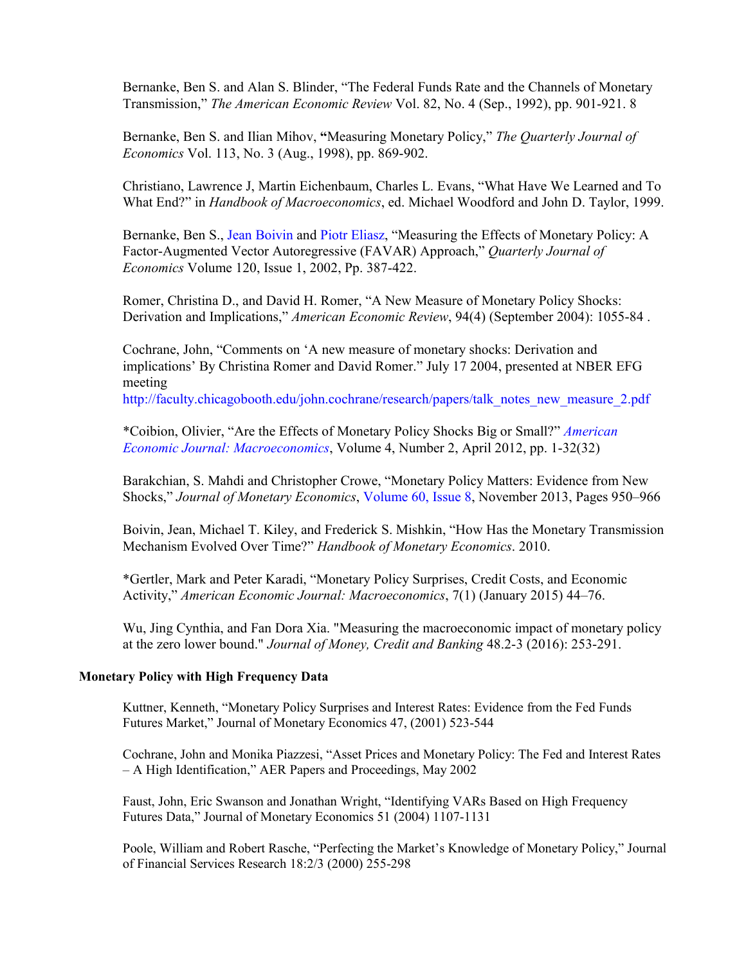Bernanke, Ben S. and Alan S. Blinder, "The Federal Funds Rate and the Channels of Monetary Transmission," *The American Economic Review* Vol. 82, No. 4 (Sep., 1992), pp. 901-921. 8

Bernanke, Ben S. and Ilian Mihov, **"**Measuring Monetary Policy," *The Quarterly Journal of Economics* Vol. 113, No. 3 (Aug., 1998), pp. 869-902.

Christiano, Lawrence J, Martin Eichenbaum, Charles L. Evans, "What Have We Learned and To What End?" in *Handbook of Macroeconomics*, ed. Michael Woodford and John D. Taylor, 1999.

Bernanke, Ben S., Jean Boivin and Piotr Eliasz, "Measuring the Effects of Monetary Policy: A Factor-Augmented Vector Autoregressive (FAVAR) Approach," *Quarterly Journal of Economics* Volume 120, Issue 1, 2002, Pp. 387-422.

Romer, Christina D., and David H. Romer, "A New Measure of Monetary Policy Shocks: Derivation and Implications," *American Economic Review*, 94(4) (September 2004): 1055-84 .

Cochrane, John, "Comments on 'A new measure of monetary shocks: Derivation and implications' By Christina Romer and David Romer." July 17 2004, presented at NBER EFG meeting

http://faculty.chicagobooth.edu/john.cochrane/research/papers/talk\_notes\_new\_measure\_2.pdf

\*Coibion, Olivier, "Are the Effects of Monetary Policy Shocks Big or Small?" *American Economic Journal: Macroeconomics*, Volume 4, Number 2, April 2012, pp. 1-32(32)

Barakchian, S. Mahdi and Christopher Crowe, "Monetary Policy Matters: Evidence from New Shocks," *Journal of Monetary Economics*, Volume 60, Issue 8, November 2013, Pages 950–966

Boivin, Jean, Michael T. Kiley, and Frederick S. Mishkin, "How Has the Monetary Transmission Mechanism Evolved Over Time?" *Handbook of Monetary Economics*. 2010.

\*Gertler, Mark and Peter Karadi, "Monetary Policy Surprises, Credit Costs, and Economic Activity," *American Economic Journal: Macroeconomics*, 7(1) (January 2015) 44–76.

Wu, Jing Cynthia, and Fan Dora Xia. "Measuring the macroeconomic impact of monetary policy at the zero lower bound." *Journal of Money, Credit and Banking* 48.2-3 (2016): 253-291.

### **Monetary Policy with High Frequency Data**

Kuttner, Kenneth, "Monetary Policy Surprises and Interest Rates: Evidence from the Fed Funds Futures Market," Journal of Monetary Economics 47, (2001) 523-544

Cochrane, John and Monika Piazzesi, "Asset Prices and Monetary Policy: The Fed and Interest Rates – A High Identification," AER Papers and Proceedings, May 2002

Faust, John, Eric Swanson and Jonathan Wright, "Identifying VARs Based on High Frequency Futures Data," Journal of Monetary Economics 51 (2004) 1107-1131

Poole, William and Robert Rasche, "Perfecting the Market's Knowledge of Monetary Policy," Journal of Financial Services Research 18:2/3 (2000) 255-298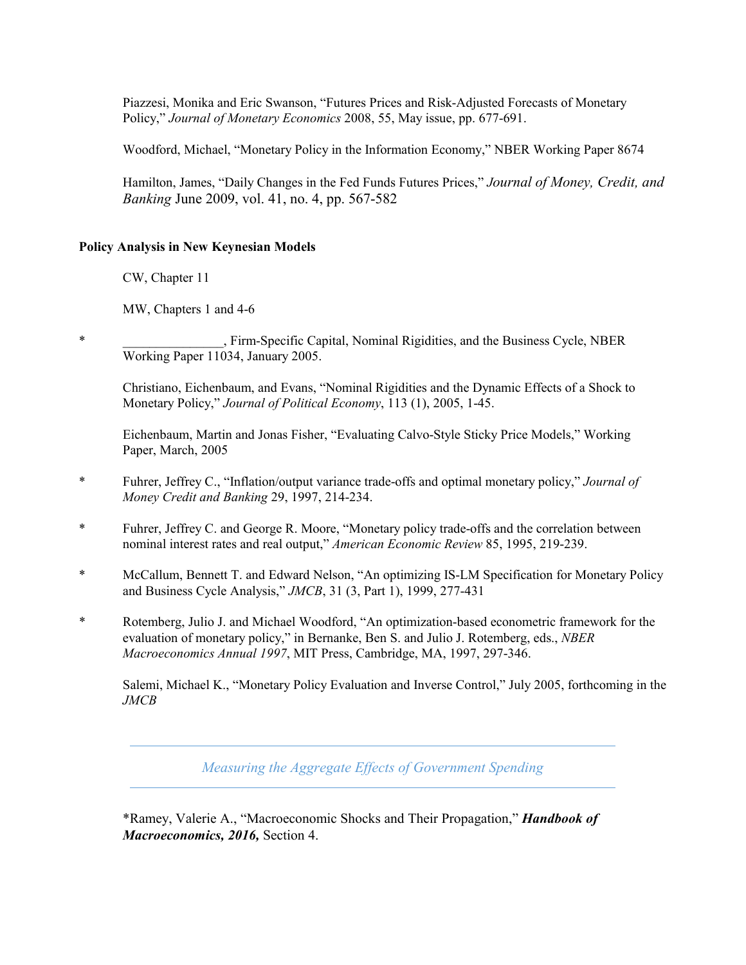Piazzesi, Monika and Eric Swanson, "Futures Prices and Risk-Adjusted Forecasts of Monetary Policy," *Journal of Monetary Economics* 2008, 55, May issue, pp. 677-691.

Woodford, Michael, "Monetary Policy in the Information Economy," NBER Working Paper 8674

Hamilton, James, "Daily Changes in the Fed Funds Futures Prices," *Journal of Money, Credit, and Banking* June 2009, vol. 41, no. 4, pp. 567-582

### **Policy Analysis in New Keynesian Models**

CW, Chapter 11

MW, Chapters 1 and 4-6

, Firm-Specific Capital, Nominal Rigidities, and the Business Cycle, NBER Working Paper 11034, January 2005.

Christiano, Eichenbaum, and Evans, "Nominal Rigidities and the Dynamic Effects of a Shock to Monetary Policy," *Journal of Political Economy*, 113 (1), 2005, 1-45.

Eichenbaum, Martin and Jonas Fisher, "Evaluating Calvo-Style Sticky Price Models," Working Paper, March, 2005

- \* Fuhrer, Jeffrey C., "Inflation/output variance trade-offs and optimal monetary policy," *Journal of Money Credit and Banking* 29, 1997, 214-234.
- \* Fuhrer, Jeffrey C. and George R. Moore, "Monetary policy trade-offs and the correlation between nominal interest rates and real output," *American Economic Review* 85, 1995, 219-239.
- \* McCallum, Bennett T. and Edward Nelson, "An optimizing IS-LM Specification for Monetary Policy and Business Cycle Analysis," *JMCB*, 31 (3, Part 1), 1999, 277-431
- \* Rotemberg, Julio J. and Michael Woodford, "An optimization-based econometric framework for the evaluation of monetary policy," in Bernanke, Ben S. and Julio J. Rotemberg, eds., *NBER Macroeconomics Annual 1997*, MIT Press, Cambridge, MA, 1997, 297-346.

Salemi, Michael K., "Monetary Policy Evaluation and Inverse Control," July 2005, forthcoming in the *JMCB*

*Measuring the Aggregate Effects of Government Spending* 

\*Ramey, Valerie A., "Macroeconomic Shocks and Their Propagation," *Handbook of Macroeconomics, 2016,* Section 4.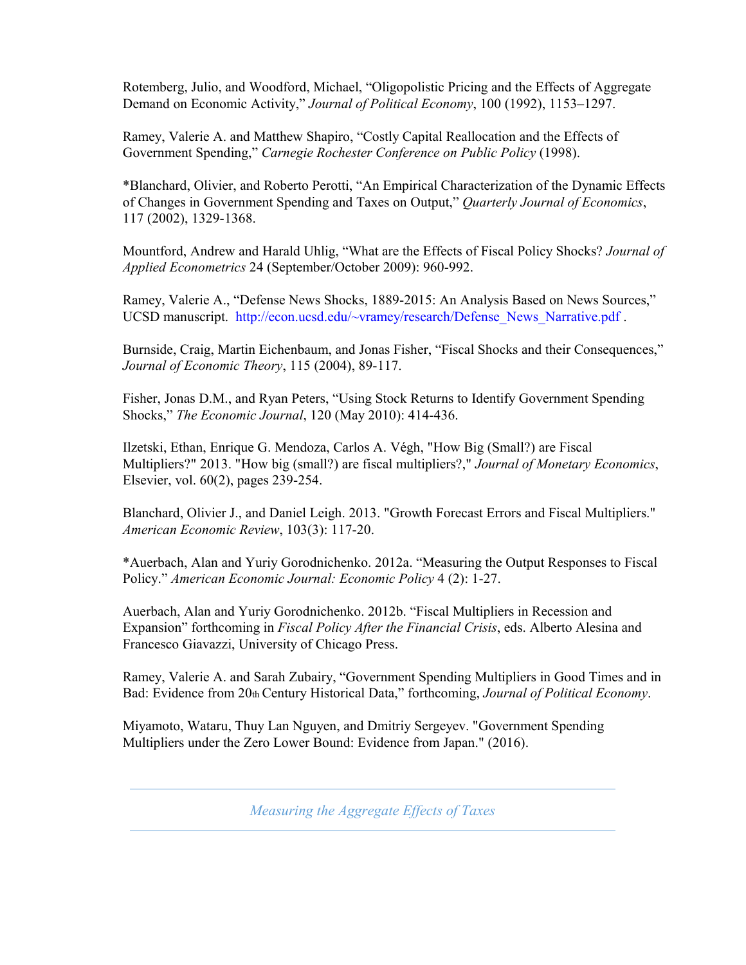Rotemberg, Julio, and Woodford, Michael, "Oligopolistic Pricing and the Effects of Aggregate Demand on Economic Activity," *Journal of Political Economy*, 100 (1992), 1153–1297.

Ramey, Valerie A. and Matthew Shapiro, "Costly Capital Reallocation and the Effects of Government Spending," *Carnegie Rochester Conference on Public Policy* (1998).

\*Blanchard, Olivier, and Roberto Perotti, "An Empirical Characterization of the Dynamic Effects of Changes in Government Spending and Taxes on Output," *Quarterly Journal of Economics*, 117 (2002), 1329-1368.

Mountford, Andrew and Harald Uhlig, "What are the Effects of Fiscal Policy Shocks? *Journal of Applied Econometrics* 24 (September/October 2009): 960-992.

Ramey, Valerie A., "Defense News Shocks, 1889-2015: An Analysis Based on News Sources," UCSD manuscript. http://econ.ucsd.edu/~vramey/research/Defense News Narrative.pdf.

Burnside, Craig, Martin Eichenbaum, and Jonas Fisher, "Fiscal Shocks and their Consequences," *Journal of Economic Theory*, 115 (2004), 89-117.

Fisher, Jonas D.M., and Ryan Peters, "Using Stock Returns to Identify Government Spending Shocks," *The Economic Journal*, 120 (May 2010): 414-436.

Ilzetski, Ethan, Enrique G. Mendoza, Carlos A. Végh, "How Big (Small?) are Fiscal Multipliers?" 2013. "How big (small?) are fiscal multipliers?," *Journal of Monetary Economics*, Elsevier, vol. 60(2), pages 239-254.

Blanchard, Olivier J., and Daniel Leigh. 2013. "Growth Forecast Errors and Fiscal Multipliers." *American Economic Review*, 103(3): 117-20.

\*Auerbach, Alan and Yuriy Gorodnichenko. 2012a. "Measuring the Output Responses to Fiscal Policy." *American Economic Journal: Economic Policy* 4 (2): 1-27.

Auerbach, Alan and Yuriy Gorodnichenko. 2012b. "Fiscal Multipliers in Recession and Expansion" forthcoming in *Fiscal Policy After the Financial Crisis*, eds. Alberto Alesina and Francesco Giavazzi, University of Chicago Press.

Ramey, Valerie A. and Sarah Zubairy, "Government Spending Multipliers in Good Times and in Bad: Evidence from 20th Century Historical Data," forthcoming, *Journal of Political Economy*.

Miyamoto, Wataru, Thuy Lan Nguyen, and Dmitriy Sergeyev. "Government Spending Multipliers under the Zero Lower Bound: Evidence from Japan." (2016).

*Measuring the Aggregate Effects of Taxes*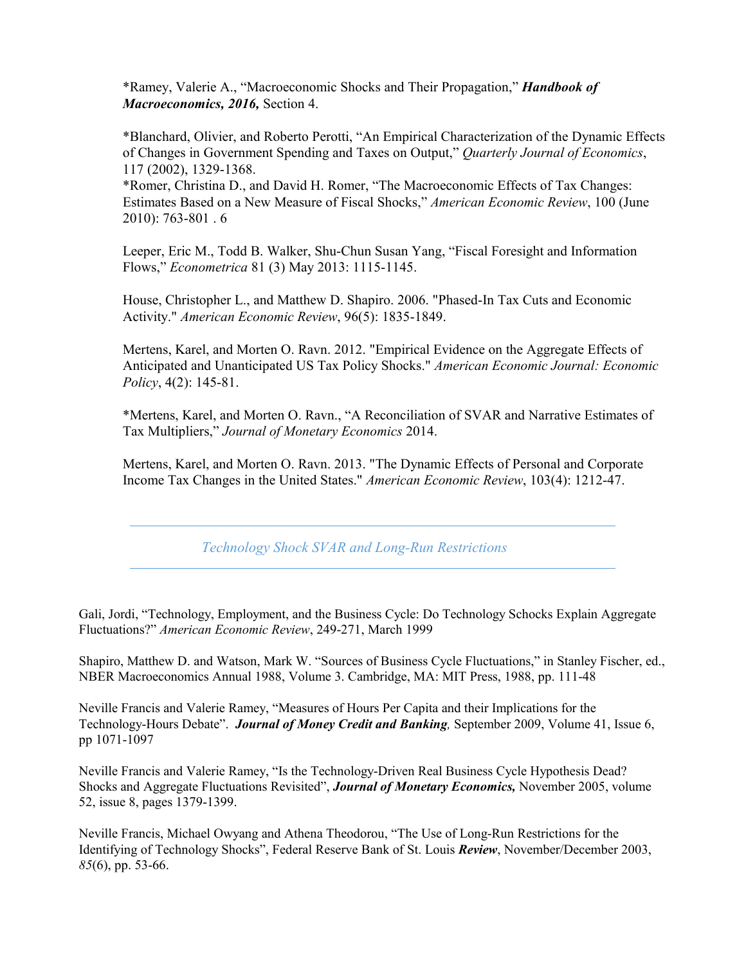\*Ramey, Valerie A., "Macroeconomic Shocks and Their Propagation," *Handbook of Macroeconomics, 2016,* Section 4.

\*Blanchard, Olivier, and Roberto Perotti, "An Empirical Characterization of the Dynamic Effects of Changes in Government Spending and Taxes on Output," *Quarterly Journal of Economics*, 117 (2002), 1329-1368.

\*Romer, Christina D., and David H. Romer, "The Macroeconomic Effects of Tax Changes: Estimates Based on a New Measure of Fiscal Shocks," *American Economic Review*, 100 (June 2010): 763-801 . 6

Leeper, Eric M., Todd B. Walker, Shu-Chun Susan Yang, "Fiscal Foresight and Information Flows," *Econometrica* 81 (3) May 2013: 1115-1145.

House, Christopher L., and Matthew D. Shapiro. 2006. "Phased-In Tax Cuts and Economic Activity." *American Economic Review*, 96(5): 1835-1849.

Mertens, Karel, and Morten O. Ravn. 2012. "Empirical Evidence on the Aggregate Effects of Anticipated and Unanticipated US Tax Policy Shocks." *American Economic Journal: Economic Policy*, 4(2): 145-81.

\*Mertens, Karel, and Morten O. Ravn., "A Reconciliation of SVAR and Narrative Estimates of Tax Multipliers," *Journal of Monetary Economics* 2014.

Mertens, Karel, and Morten O. Ravn. 2013. "The Dynamic Effects of Personal and Corporate Income Tax Changes in the United States." *American Economic Review*, 103(4): 1212-47.

*Technology Shock SVAR and Long-Run Restrictions*

Gali, Jordi, "Technology, Employment, and the Business Cycle: Do Technology Schocks Explain Aggregate Fluctuations?" *American Economic Review*, 249-271, March 1999

Shapiro, Matthew D. and Watson, Mark W. "Sources of Business Cycle Fluctuations," in Stanley Fischer, ed., NBER Macroeconomics Annual 1988, Volume 3. Cambridge, MA: MIT Press, 1988, pp. 111-48

Neville Francis and Valerie Ramey, "Measures of Hours Per Capita and their Implications for the Technology-Hours Debate". *Journal of Money Credit and Banking,* September 2009, Volume 41, Issue 6, pp 1071-1097

Neville Francis and Valerie Ramey, "Is the Technology-Driven Real Business Cycle Hypothesis Dead? Shocks and Aggregate Fluctuations Revisited", *Journal of Monetary Economics,* November 2005, volume 52, issue 8, pages 1379-1399.

Neville Francis, Michael Owyang and Athena Theodorou, "The Use of Long-Run Restrictions for the Identifying of Technology Shocks", Federal Reserve Bank of St. Louis *Review*, November/December 2003, *85*(6), pp. 53-66.